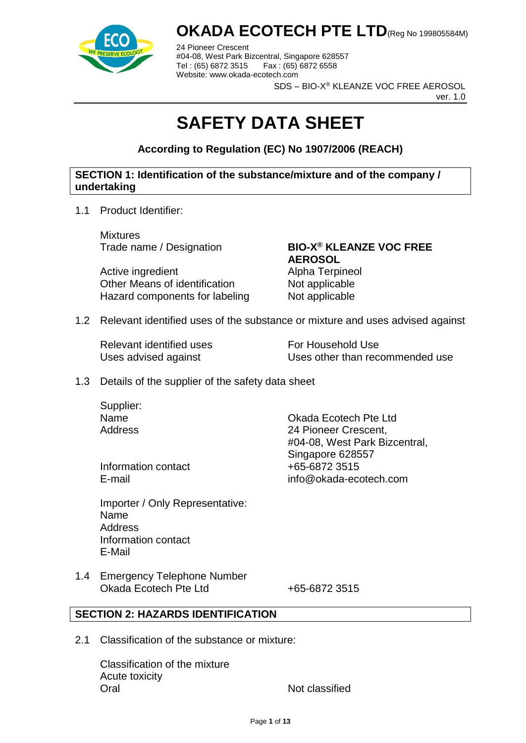

24 Pioneer Crescent #04-08, West Park Bizcentral, Singapore 628557 Fax : (65) 6872 6558 Website: www.okada-ecotech.com

SDS – BIO-X® KLEANZE VOC FREE AEROSOL

ver. 1.0

# **SAFETY DATA SHEET**

**According to Regulation (EC) No 1907/2006 (REACH)**

### **SECTION 1: Identification of the substance/mixture and of the company / undertaking**

1.1 Product Identifier:

Mixtures

Active ingredient **Alpha Terpineol** Other Means of identification Not applicable Hazard components for labeling Not applicable

# Trade name / Designation **BIO-X® KLEANZE VOC FREE AEROSOL**

1.2 Relevant identified uses of the substance or mixture and uses advised against

Relevant identified uses For Household Use

Uses advised against Uses other than recommended use

1.3 Details of the supplier of the safety data sheet

Supplier:

Information contact  $+65-6872$  3515

Importer / Only Representative: Name Address Information contact E-Mail

Name Okada Ecotech Pte Ltd Address 24 Pioneer Crescent, #04-08, West Park Bizcentral, Singapore 628557 E-mail info@okada-ecotech.com

1.4 Emergency Telephone Number Okada Ecotech Pte Ltd +65-6872 3515

### **SECTION 2: HAZARDS IDENTIFICATION**

2.1 Classification of the substance or mixture:

Classification of the mixture Acute toxicity Oral Not classified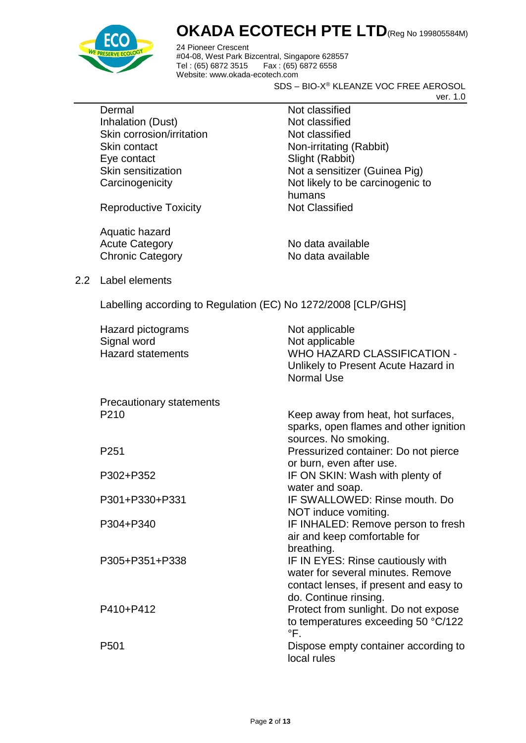

24 Pioneer Crescent #04-08, West Park Bizcentral, Singapore 628557 Fax : (65) 6872 6558 Website: www.okada-ecotech.com

SDS – BIO-X® KLEANZE VOC FREE AEROSOL

ver. 1.0

Dermal Not classified Inhalation (Dust) Not classified Skin corrosion/irritation Not classified Skin contact Non-irritating (Rabbit) Eye contact Slight (Rabbit)

Reproductive Toxicity Not Classified

Aquatic hazard Acute Category No data available Chronic Category No data available

Skin sensitization Not a sensitizer (Guinea Pig) Carcinogenicity **Not likely to be carcinogenic to** humans

2.2 Label elements

Labelling according to Regulation (EC) No 1272/2008 [CLP/GHS]

| Hazard pictograms<br>Signal word<br><b>Hazard statements</b> | Not applicable<br>Not applicable<br><b>WHO HAZARD CLASSIFICATION -</b><br>Unlikely to Present Acute Hazard in<br><b>Normal Use</b>        |
|--------------------------------------------------------------|-------------------------------------------------------------------------------------------------------------------------------------------|
| <b>Precautionary statements</b>                              |                                                                                                                                           |
| P <sub>210</sub>                                             | Keep away from heat, hot surfaces,<br>sparks, open flames and other ignition<br>sources. No smoking.                                      |
| P <sub>251</sub>                                             | Pressurized container: Do not pierce<br>or burn, even after use.                                                                          |
| P302+P352                                                    | IF ON SKIN: Wash with plenty of<br>water and soap.                                                                                        |
| P301+P330+P331                                               | IF SWALLOWED: Rinse mouth, Do<br>NOT induce vomiting.                                                                                     |
| P304+P340                                                    | IF INHALED: Remove person to fresh<br>air and keep comfortable for<br>breathing.                                                          |
| P305+P351+P338                                               | IF IN EYES: Rinse cautiously with<br>water for several minutes. Remove<br>contact lenses, if present and easy to<br>do. Continue rinsing. |
| P410+P412                                                    | Protect from sunlight. Do not expose<br>to temperatures exceeding 50 °C/122<br>°F.                                                        |
| P <sub>501</sub>                                             | Dispose empty container according to<br>local rules                                                                                       |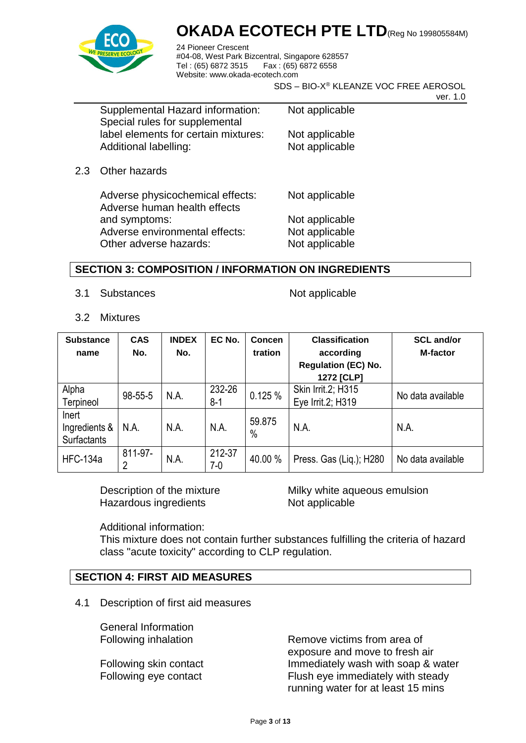

24 Pioneer Crescent #04-08, West Park Bizcentral, Singapore 628557 Fax : (65) 6872 6558 Website: www.okada-ecotech.com

SDS – BIO-X® KLEANZE VOC FREE AEROSOL

ver. 1.0

| Supplemental Hazard information:     | N |
|--------------------------------------|---|
| Special rules for supplemental       |   |
| label elements for certain mixtures: | N |
| Additional labelling:                | N |

lot applicable

lot applicable lot applicable

2.3 Other hazards

Adverse physicochemical effects: Not applicable Adverse human health effects and symptoms: Not applicable Adverse environmental effects: Not applicable Other adverse hazards: Not applicable

### **SECTION 3: COMPOSITION / INFORMATION ON INGREDIENTS**

3.1 Substances Not applicable

3.2 Mixtures

| <b>Substance</b><br>name              | <b>CAS</b><br>No. | <b>INDEX</b><br>No. | EC No.          | Concen<br>tration | <b>Classification</b><br>according<br><b>Regulation (EC) No.</b><br>1272 [CLP] | <b>SCL and/or</b><br><b>M-factor</b> |
|---------------------------------------|-------------------|---------------------|-----------------|-------------------|--------------------------------------------------------------------------------|--------------------------------------|
| Alpha<br>Terpineol                    | 98-55-5           | N.A.                | 232-26<br>$8-1$ | 0.125%            | Skin Irrit.2; H315<br>Eye Irrit.2; H319                                        | No data available                    |
| Inert<br>Ingredients &<br>Surfactants | N.A.              | N.A.                | N.A.            | 59.875<br>$\%$    | N.A.                                                                           | N.A.                                 |
| <b>HFC-134a</b>                       | 811-97-<br>2      | N.A.                | 212-37<br>7-0   | 40.00 %           | Press. Gas (Liq.); H280                                                        | No data available                    |

Hazardous ingredients Not applicable

Description of the mixture Milky white aqueous emulsion

#### Additional information:

This mixture does not contain further substances fulfilling the criteria of hazard class "acute toxicity" according to CLP regulation.

### **SECTION 4: FIRST AID MEASURES**

4.1 Description of first aid measures

General Information

Following inhalation **Remove victims from area of** exposure and move to fresh air Following skin contact **Immediately wash with soap & water** Following eye contact Flush eye immediately with steady running water for at least 15 mins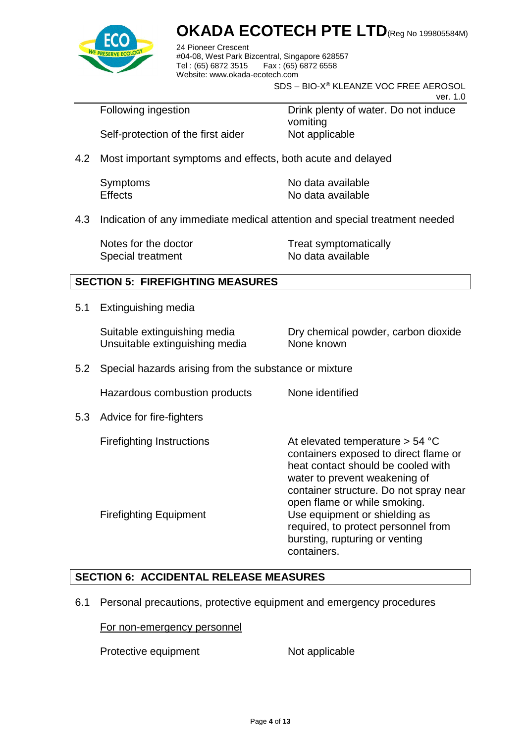

24 Pioneer Crescent #04-08, West Park Bizcentral, Singapore 628557 Fax: (65) 6872 6558 Website: www.okada-ecotech.com

SDS – BIO-X® KLEANZE VOC FREE AEROSOL

ver. 1.0

Following ingestion **Drink plenty of water.** Do not induce vomiting Self-protection of the first aider Not applicable

4.2 Most important symptoms and effects, both acute and delayed

| Symptoms       | No data available |
|----------------|-------------------|
| <b>Effects</b> | No data available |

4.3 Indication of any immediate medical attention and special treatment needed

Special treatment No data available

Notes for the doctor Treat symptomatically

### **SECTION 5: FIREFIGHTING MEASURES**

5.1 Extinguishing media

Unsuitable extinguishing media None known

Suitable extinguishing media Dry chemical powder, carbon dioxide

5.2 Special hazards arising from the substance or mixture

Hazardous combustion products None identified

5.3 Advice for fire-fighters

Firefighting Instructions **At elevated temperature > 54 °C** containers exposed to direct flame or heat contact should be cooled with water to prevent weakening of container structure. Do not spray near open flame or while smoking. Firefighting Equipment Use equipment or shielding as required, to protect personnel from bursting, rupturing or venting containers.

### **SECTION 6: ACCIDENTAL RELEASE MEASURES**

6.1 Personal precautions, protective equipment and emergency procedures

#### For non-emergency personnel

Protective equipment Not applicable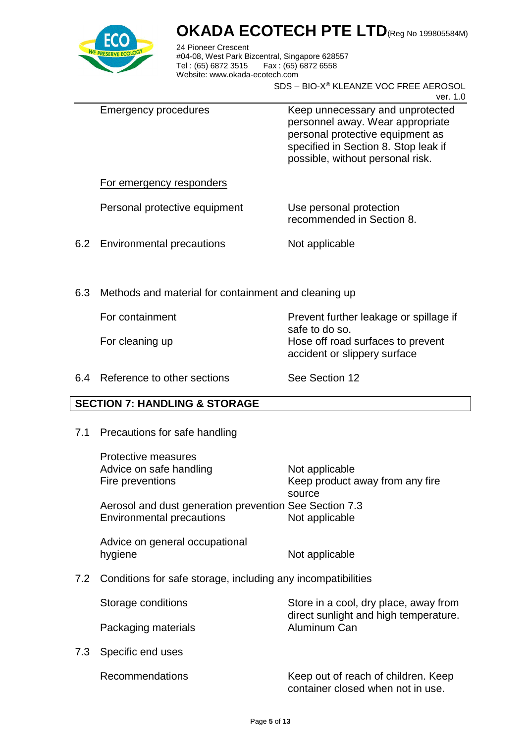

24 Pioneer Crescent #04-08, West Park Bizcentral, Singapore 628557 Tel : (65) 6872 3515 Fax : (65) 6872 6558 Website: www.okada-ecotech.com

SDS – BIO-X® KLEANZE VOC FREE AEROSOL

ver. 1.0

| Emergency procedures | Keep unnecessary and unprotected<br>personnel away. Wear appropriate<br>personal protective equipment as<br>specified in Section 8. Stop leak if<br>possible, without personal risk. |
|----------------------|--------------------------------------------------------------------------------------------------------------------------------------------------------------------------------------|
|                      |                                                                                                                                                                                      |

#### For emergency responders

Personal protective equipment Use personal protection

recommended in Section 8.

accident or slippery surface

6.2 Environmental precautions Not applicable

6.3 Methods and material for containment and cleaning up

For containment **Prevent further leakage or spillage if** 

For cleaning up **Hose off road surfaces to prevent** 

6.4 Reference to other sections See Section 12

safe to do so.

### **SECTION 7: HANDLING & STORAGE**

7.1 Precautions for safe handling

|     | Protective measures<br>Advice on safe handling<br>Fire preventions                         | Not applicable<br>Keep product away from any fire     |
|-----|--------------------------------------------------------------------------------------------|-------------------------------------------------------|
|     | Aerosol and dust generation prevention See Section 7.3<br><b>Environmental precautions</b> | source<br>Not applicable                              |
|     | Advice on general occupational<br>hygiene                                                  | Not applicable                                        |
|     | 7.2 Conditions for safe storage, including any incompatibilities                           |                                                       |
|     | Storage conditions                                                                         | Store in a cool, dry place, away from                 |
|     | Packaging materials                                                                        | direct sunlight and high temperature.<br>Aluminum Can |
| 7.3 | Specific end uses                                                                          |                                                       |
|     |                                                                                            |                                                       |

 $7.3$ 

Recommendations Keep out of reach of children. Keep container closed when not in use.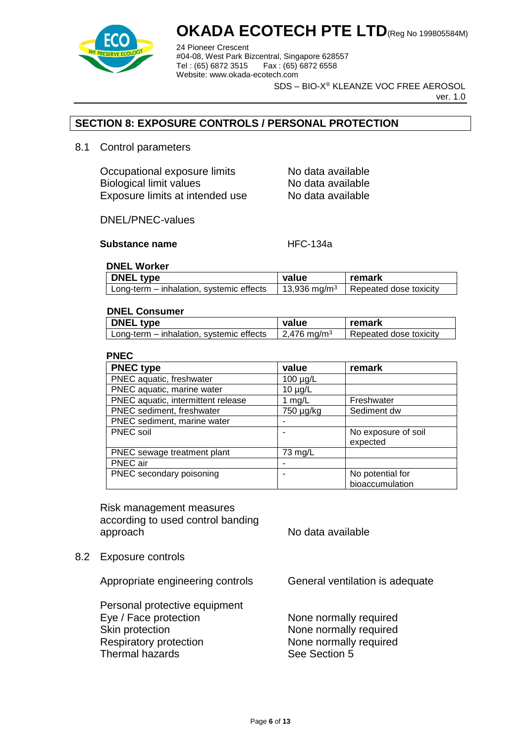

24 Pioneer Crescent #04-08, West Park Bizcentral, Singapore 628557 Fax : (65) 6872 6558 Website: www.okada-ecotech.com

SDS – BIO-X® KLEANZE VOC FREE AEROSOL

ver. 1.0

### **SECTION 8: EXPOSURE CONTROLS / PERSONAL PROTECTION**

8.1 Control parameters

Occupational exposure limits No data available Biological limit values No data available Exposure limits at intended use No data available

DNEL/PNEC-values

#### **Substance name** HFC-134a

#### **DNEL Worker**

| <b>DNEL type</b>                         | value                   | remark                 |
|------------------------------------------|-------------------------|------------------------|
| Long-term – inhalation, systemic effects | $13,936 \text{ mg/m}^3$ | Repeated dose toxicity |

#### **DNEL Consumer**

| <b>DNEL type</b>                         | value                   | remark                 |
|------------------------------------------|-------------------------|------------------------|
| Long-term – inhalation, systemic effects | 2,476 mg/m <sup>3</sup> | Repeated dose toxicity |

#### **PNEC**

| <b>PNEC type</b>                   | value         | remark              |
|------------------------------------|---------------|---------------------|
| PNEC aquatic, freshwater           | $100 \mu g/L$ |                     |
| PNEC aquatic, marine water         | $10 \mu g/L$  |                     |
| PNEC aquatic, intermittent release | 1 mg/L        | Freshwater          |
| PNEC sediment, freshwater          | 750 µg/kg     | Sediment dw         |
| PNEC sediment, marine water        |               |                     |
| <b>PNEC</b> soil                   |               | No exposure of soil |
|                                    |               | expected            |
| PNEC sewage treatment plant        | 73 mg/L       |                     |
| PNEC air                           |               |                     |
| PNEC secondary poisoning           |               | No potential for    |
|                                    |               | bioaccumulation     |

Risk management measures according to used control banding approach approach No data available

8.2 Exposure controls

Appropriate engineering controls General ventilation is adequate

Personal protective equipment Eye / Face protection None normally required Skin protection **None normally required** Respiratory protection None normally required Thermal hazards See Section 5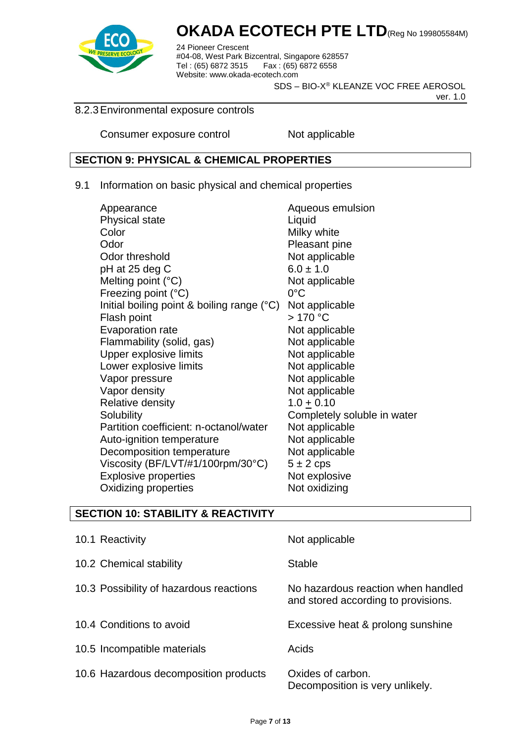

24 Pioneer Crescent #04-08, West Park Bizcentral, Singapore 628557 Tel : (65) 6872 3515 Fax : (65) 6872 6558 Website: www.okada-ecotech.com

SDS – BIO-X® KLEANZE VOC FREE AEROSOL

ver. 1.0

#### 8.2.3Environmental exposure controls

Consumer exposure control Not applicable

### **SECTION 9: PHYSICAL & CHEMICAL PROPERTIES**

9.1 Information on basic physical and chemical properties

| Appearance                                   | Aqueous emulsion            |
|----------------------------------------------|-----------------------------|
| <b>Physical state</b>                        | Liquid                      |
| Color                                        | Milky white                 |
| Odor                                         | Pleasant pine               |
| Odor threshold                               | Not applicable              |
| pH at 25 deg C                               | $6.0 \pm 1.0$               |
| Melting point $(^{\circ}C)$                  | Not applicable              |
| Freezing point (°C)                          | $0^{\circ}$ C               |
| Initial boiling point & boiling range $(°C)$ | Not applicable              |
| Flash point                                  | $>170$ °C                   |
| Evaporation rate                             | Not applicable              |
| Flammability (solid, gas)                    | Not applicable              |
| Upper explosive limits                       | Not applicable              |
| Lower explosive limits                       | Not applicable              |
| Vapor pressure                               | Not applicable              |
| Vapor density                                | Not applicable              |
| Relative density                             | $1.0 \pm 0.10$              |
| Solubility                                   | Completely soluble in water |
| Partition coefficient: n-octanol/water       | Not applicable              |
| Auto-ignition temperature                    | Not applicable              |
| Decomposition temperature                    | Not applicable              |
| Viscosity (BF/LVT/#1/100rpm/30°C)            | $5 \pm 2$ cps               |
| <b>Explosive properties</b>                  | Not explosive               |
| Oxidizing properties                         | Not oxidizing               |
|                                              |                             |

### **SECTION 10: STABILITY & REACTIVITY**

| 10.1 Reactivity                         | Not applicable                                                            |
|-----------------------------------------|---------------------------------------------------------------------------|
| 10.2 Chemical stability                 | Stable                                                                    |
| 10.3 Possibility of hazardous reactions | No hazardous reaction when handled<br>and stored according to provisions. |
| 10.4 Conditions to avoid                | Excessive heat & prolong sunshine                                         |
| 10.5 Incompatible materials             | Acids                                                                     |
| 10.6 Hazardous decomposition products   | Oxides of carbon.<br>Decomposition is very unlikely.                      |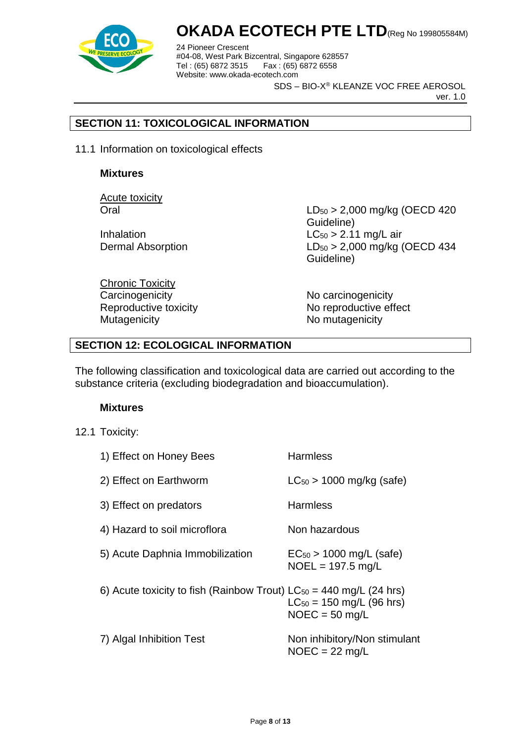

24 Pioneer Crescent #04-08, West Park Bizcentral, Singapore 628557 Fax : (65) 6872 6558 Website: www.okada-ecotech.com

SDS – BIO-X® KLEANZE VOC FREE AEROSOL

ver. 1.0

### **SECTION 11: TOXICOLOGICAL INFORMATION**

11.1 Information on toxicological effects

#### **Mixtures**

Acute toxicity

Oral LD<sup>50</sup> > 2,000 mg/kg (OECD 420 Guideline) Inhalation  $LC_{50} > 2.11$  mg/L air Dermal Absorption LD<sub>50</sub> > 2,000 mg/kg (OECD 434 Guideline)

Chronic Toxicity Carcinogenicity **No carcinogenicity** No carcinogenicity Mutagenicity Mutagenicity Momutagenicity

Reproductive toxicity No reproductive effect

### **SECTION 12: ECOLOGICAL INFORMATION**

The following classification and toxicological data are carried out according to the substance criteria (excluding biodegradation and bioaccumulation).

#### **Mixtures**

12.1 Toxicity:

| 1) Effect on Honey Bees                                                 | <b>Harmless</b>                                     |
|-------------------------------------------------------------------------|-----------------------------------------------------|
| 2) Effect on Earthworm                                                  | $LC_{50}$ > 1000 mg/kg (safe)                       |
| 3) Effect on predators                                                  | <b>Harmless</b>                                     |
| 4) Hazard to soil microflora                                            | Non hazardous                                       |
| 5) Acute Daphnia Immobilization                                         | $EC_{50}$ > 1000 mg/L (safe)<br>$NOEL = 197.5$ mg/L |
| 6) Acute toxicity to fish (Rainbow Trout) $LC_{50} = 440$ mg/L (24 hrs) | $LC_{50} = 150$ mg/L (96 hrs)<br>$NOEC = 50$ mg/L   |
| 7) Algal Inhibition Test                                                | Non inhibitory/Non stimulant<br>$NOEC = 22$ mg/L    |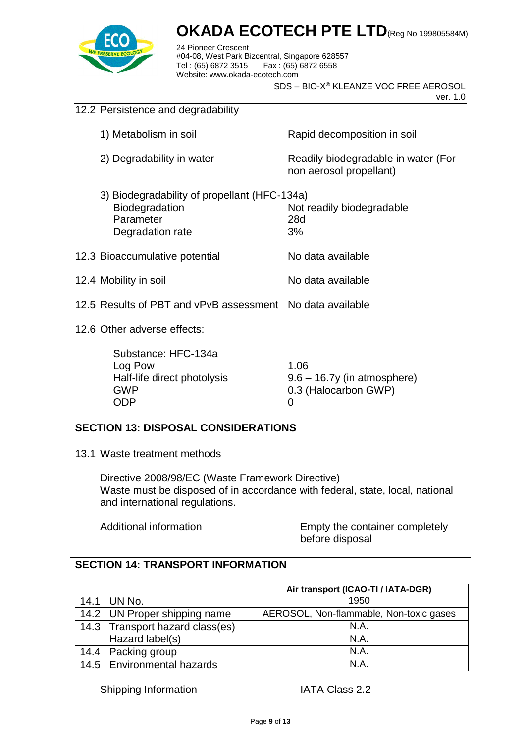

24 Pioneer Crescent #04-08, West Park Bizcentral, Singapore 628557 Fax : (65) 6872 6558 Website: www.okada-ecotech.com

SDS – BIO-X® KLEANZE VOC FREE AEROSOL

ver. 1.0

| 12.2 Persistence and degradability |                                                                                                 |                                                                    |
|------------------------------------|-------------------------------------------------------------------------------------------------|--------------------------------------------------------------------|
|                                    | 1) Metabolism in soil                                                                           | Rapid decomposition in soil                                        |
|                                    | 2) Degradability in water                                                                       | Readily biodegradable in water (For<br>non aerosol propellant)     |
|                                    | 3) Biodegradability of propellant (HFC-134a)<br>Biodegradation<br>Parameter<br>Degradation rate | Not readily biodegradable<br>28d<br>3%                             |
|                                    | 12.3 Bioaccumulative potential                                                                  | No data available                                                  |
|                                    | 12.4 Mobility in soil                                                                           | No data available                                                  |
|                                    | 12.5 Results of PBT and vPvB assessment No data available                                       |                                                                    |
| 12.6 Other adverse effects:        |                                                                                                 |                                                                    |
|                                    | Substance: HFC-134a<br>Log Pow<br>Half-life direct photolysis<br><b>GWP</b><br><b>ODP</b>       | 1.06<br>$9.6 - 16.7y$ (in atmosphere)<br>0.3 (Halocarbon GWP)<br>0 |

### **SECTION 13: DISPOSAL CONSIDERATIONS**

13.1 Waste treatment methods

Directive 2008/98/EC (Waste Framework Directive) Waste must be disposed of in accordance with federal, state, local, national and international regulations.

Additional information **Empty** the container completely before disposal

### **SECTION 14: TRANSPORT INFORMATION**

|                                 | Air transport (ICAO-TI / IATA-DGR)      |
|---------------------------------|-----------------------------------------|
| 14.1<br>UN No.                  | 1950                                    |
| 14.2 UN Proper shipping name    | AEROSOL, Non-flammable, Non-toxic gases |
| 14.3 Transport hazard class(es) | N.A.                                    |
| Hazard label(s)                 | N.A.                                    |
| 14.4 Packing group              | N.A.                                    |
| 14.5 Environmental hazards      | N.A                                     |

Shipping Information IATA Class 2.2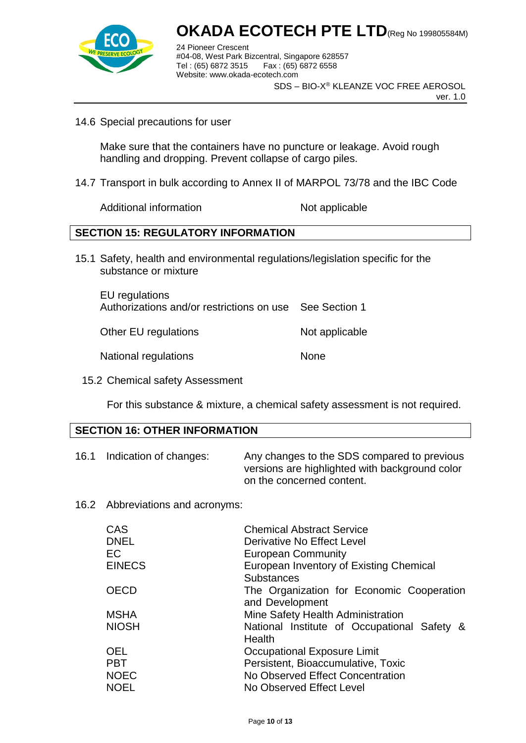

24 Pioneer Crescent #04-08, West Park Bizcentral, Singapore 628557 Fax : (65) 6872 6558 Website: www.okada-ecotech.com

SDS – BIO-X® KLEANZE VOC FREE AEROSOL

ver. 1.0

14.6 Special precautions for user

Make sure that the containers have no puncture or leakage. Avoid rough handling and dropping. Prevent collapse of cargo piles.

14.7 Transport in bulk according to Annex II of MARPOL 73/78 and the IBC Code

Additional information Not applicable

### **SECTION 15: REGULATORY INFORMATION**

15.1 Safety, health and environmental regulations/legislation specific for the substance or mixture

EU regulations Authorizations and/or restrictions on use See Section 1

Other EU regulations Not applicable

National regulations None

15.2 Chemical safety Assessment

For this substance & mixture, a chemical safety assessment is not required.

### **SECTION 16: OTHER INFORMATION**

- 16.1 Indication of changes: Any changes to the SDS compared to previous versions are highlighted with background color on the concerned content.
- 16.2 Abbreviations and acronyms:

| CAS           | <b>Chemical Abstract Service</b>            |
|---------------|---------------------------------------------|
| <b>DNEL</b>   | Derivative No Effect Level                  |
| <b>EC</b>     | <b>European Community</b>                   |
| <b>EINECS</b> | European Inventory of Existing Chemical     |
|               | <b>Substances</b>                           |
| <b>OECD</b>   | The Organization for Economic Cooperation   |
|               | and Development                             |
| <b>MSHA</b>   | Mine Safety Health Administration           |
| <b>NIOSH</b>  | National Institute of Occupational Safety & |
|               | Health                                      |
| <b>OEL</b>    | <b>Occupational Exposure Limit</b>          |
| <b>PBT</b>    | Persistent, Bioaccumulative, Toxic          |
| <b>NOEC</b>   | No Observed Effect Concentration            |
| <b>NOEL</b>   | No Observed Effect Level                    |
|               |                                             |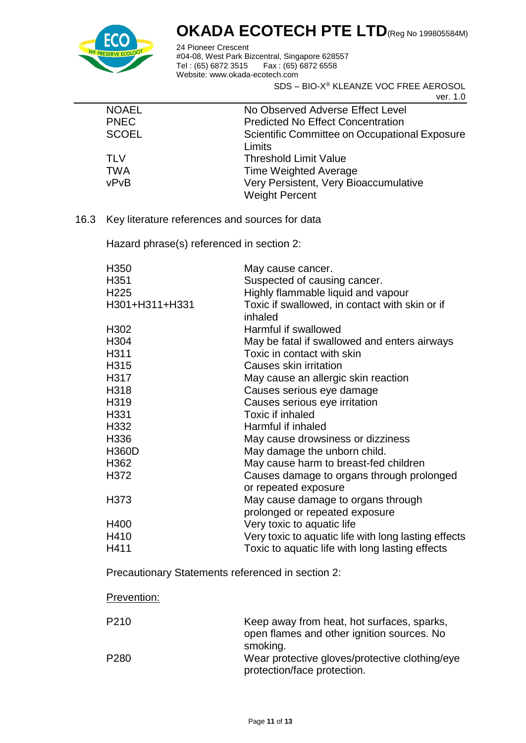

24 Pioneer Crescent #04-08, West Park Bizcentral, Singapore 628557 Tel : (65) 6872 3515 Fax : (65) 6872 6558 Website: www.okada-ecotech.com

SDS – BIO-X® KLEANZE VOC FREE AEROSOL

ver. 1.0

| <b>NOAEL</b> | No Observed Adverse Effect Level              |
|--------------|-----------------------------------------------|
| <b>PNEC</b>  | <b>Predicted No Effect Concentration</b>      |
| <b>SCOEL</b> | Scientific Committee on Occupational Exposure |
|              | Limits                                        |
| TLV          | <b>Threshold Limit Value</b>                  |
| <b>TWA</b>   | Time Weighted Average                         |
| vPvB         | Very Persistent, Very Bioaccumulative         |
|              | <b>Weight Percent</b>                         |
|              |                                               |

16.3 Key literature references and sources for data

Hazard phrase(s) referenced in section 2:

| H <sub>350</sub>                                        | May cause cancer.                                    |  |
|---------------------------------------------------------|------------------------------------------------------|--|
| H351                                                    | Suspected of causing cancer.                         |  |
| H <sub>225</sub>                                        | Highly flammable liquid and vapour                   |  |
| H301+H311+H331                                          | Toxic if swallowed, in contact with skin or if       |  |
|                                                         | inhaled                                              |  |
| H <sub>302</sub>                                        | Harmful if swallowed                                 |  |
| H <sub>304</sub>                                        | May be fatal if swallowed and enters airways         |  |
| H311                                                    | Toxic in contact with skin                           |  |
| H315                                                    | Causes skin irritation                               |  |
| H317                                                    | May cause an allergic skin reaction                  |  |
| H318                                                    | Causes serious eye damage                            |  |
| H319                                                    | Causes serious eye irritation                        |  |
| H331                                                    | Toxic if inhaled                                     |  |
| H332                                                    | Harmful if inhaled                                   |  |
| H336                                                    | May cause drowsiness or dizziness                    |  |
| <b>H360D</b>                                            | May damage the unborn child.                         |  |
| H362                                                    | May cause harm to breast-fed children                |  |
| H372                                                    | Causes damage to organs through prolonged            |  |
|                                                         | or repeated exposure                                 |  |
| H373                                                    | May cause damage to organs through                   |  |
|                                                         | prolonged or repeated exposure                       |  |
| H400                                                    | Very toxic to aquatic life                           |  |
| H410                                                    | Very toxic to aquatic life with long lasting effects |  |
| H411                                                    | Toxic to aquatic life with long lasting effects      |  |
| $\sim$ $\sim$ $\sim$ $\sim$ $\sim$ $\sim$ $\sim$ $\sim$ |                                                      |  |

Precautionary Statements referenced in section 2:

### Prevention:

| P <sub>210</sub> | Keep away from heat, hot surfaces, sparks,<br>open flames and other ignition sources. No |
|------------------|------------------------------------------------------------------------------------------|
|                  | smoking.                                                                                 |
| P <sub>280</sub> | Wear protective gloves/protective clothing/eye                                           |
|                  | protection/face protection.                                                              |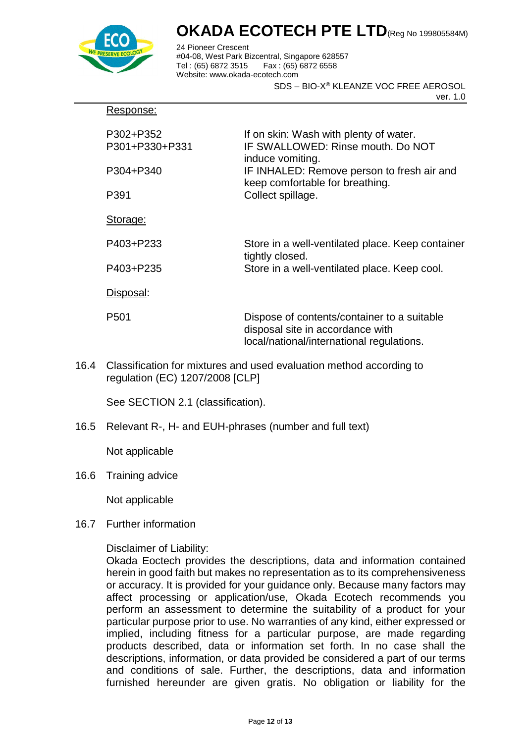

Response:

### **OKADA ECOTECH PTE LTD**(Reg No 199805584M)

24 Pioneer Crescent #04-08, West Park Bizcentral, Singapore 628557 Fax : (65) 6872 6558 Website: www.okada-ecotech.com

SDS – BIO-X® KLEANZE VOC FREE AEROSOL

ver. 1.0

| P302+P352<br>P301+P330+P331 | If on skin: Wash with plenty of water.<br>IF SWALLOWED: Rinse mouth. Do NOT<br>induce vomiting.                              |
|-----------------------------|------------------------------------------------------------------------------------------------------------------------------|
| P304+P340                   | IF INHALED: Remove person to fresh air and<br>keep comfortable for breathing.                                                |
| P391                        | Collect spillage.                                                                                                            |
| Storage:                    |                                                                                                                              |
| P403+P233                   | Store in a well-ventilated place. Keep container<br>tightly closed.                                                          |
| P403+P235                   | Store in a well-ventilated place. Keep cool.                                                                                 |
| Disposal:                   |                                                                                                                              |
| P <sub>501</sub>            | Dispose of contents/container to a suitable<br>disposal site in accordance with<br>local/national/international regulations. |

16.4 Classification for mixtures and used evaluation method according to regulation (EC) 1207/2008 [CLP]

See SECTION 2.1 (classification).

16.5 Relevant R-, H- and EUH-phrases (number and full text)

Not applicable

16.6 Training advice

Not applicable

16.7 Further information

### Disclaimer of Liability:

Okada Eoctech provides the descriptions, data and information contained herein in good faith but makes no representation as to its comprehensiveness or accuracy. It is provided for your guidance only. Because many factors may affect processing or application/use, Okada Ecotech recommends you perform an assessment to determine the suitability of a product for your particular purpose prior to use. No warranties of any kind, either expressed or implied, including fitness for a particular purpose, are made regarding products described, data or information set forth. In no case shall the descriptions, information, or data provided be considered a part of our terms and conditions of sale. Further, the descriptions, data and information furnished hereunder are given gratis. No obligation or liability for the